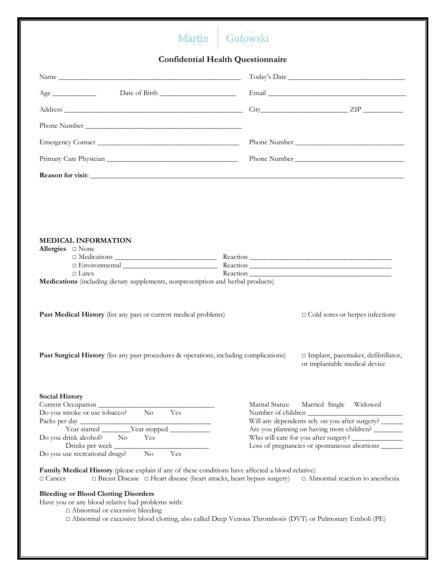## Martin Gutowski

**Confidential Health Questionnaire**

| Age                                                                                                                                                                                                                                                           |                                       |                                                                                                                                                                              |
|---------------------------------------------------------------------------------------------------------------------------------------------------------------------------------------------------------------------------------------------------------------|---------------------------------------|------------------------------------------------------------------------------------------------------------------------------------------------------------------------------|
|                                                                                                                                                                                                                                                               |                                       | $City$ $ZIP$ $\_\_$                                                                                                                                                          |
|                                                                                                                                                                                                                                                               |                                       |                                                                                                                                                                              |
|                                                                                                                                                                                                                                                               |                                       |                                                                                                                                                                              |
|                                                                                                                                                                                                                                                               |                                       |                                                                                                                                                                              |
|                                                                                                                                                                                                                                                               |                                       |                                                                                                                                                                              |
| <b>MEDICAL INFORMATION</b><br>Allergies $\square$ None<br>$\Box$ Environmental $\Box$<br>$\Box$ Latex<br>Medications (including dietary supplements, nonprescription and herbal products)<br>Past Medical History (list any past or current medical problems) |                                       | Reaction<br>$\Box$ Cold sores or herpes infections                                                                                                                           |
| Past Surgical History (list any past procedures & operations, including complications)                                                                                                                                                                        |                                       | □ Implant, pacemaker, defibrillator,<br>or implantable medical device                                                                                                        |
| <b>Social History</b><br>Current Occupation<br>Do you smoke or use tobacco?<br>Yes<br>$\rm No$<br>Packs per day<br>Do you drink alcohol?<br>$\rm No$<br>Yes<br>Drinks per week<br>Yes<br>Do you use recreational drugs?<br>$\rm No$                           | Marital Status:<br>Number of children | Married Single Widowed<br>Will any dependents rely on you after surgery?<br>Are you planning on having more children?<br>Loss of pregnancies or spontaneous abortions ______ |
| Family Medical History (please explain if any of these conditions have affected a blood relative)<br>□ Breast Disease □ Heart disease (heart attacks, heart bypass surgery)<br>$\Box$ Cancer                                                                  |                                       | $\Box$ Abnormal reaction to anesthesia                                                                                                                                       |

## **Bleeding or Blood Clotting Disorders**

Have you or any blood relative had problems with:

□ Abnormal or excessive bleeding

□ Abnormal or excessive blood clotting, also called Deep Venous Thrombosis (DVT) or Pulmonary Emboli (PE)